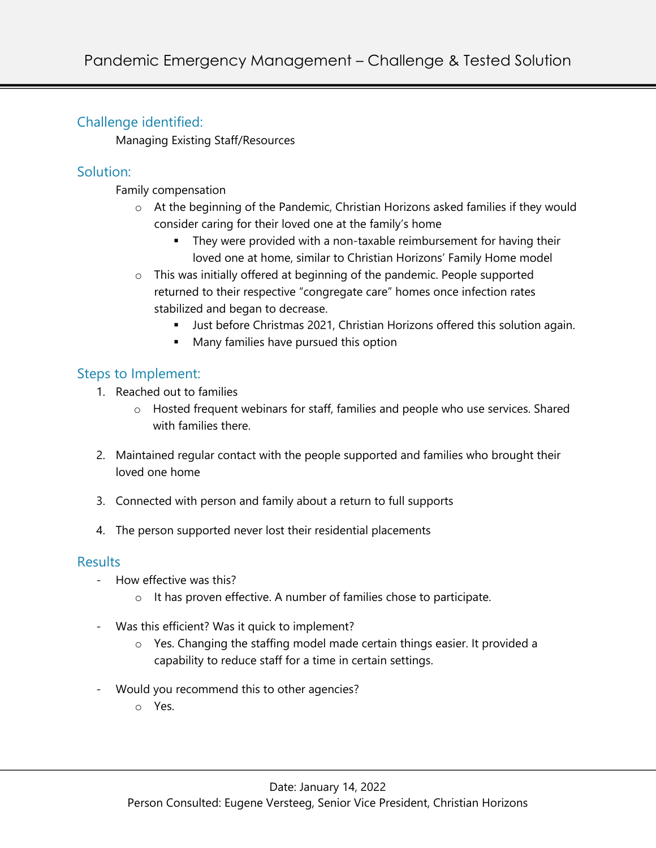# Challenge identified:

Managing Existing Staff/Resources

# Solution:

Family compensation

- o At the beginning of the Pandemic, Christian Horizons asked families if they would consider caring for their loved one at the family's home
	- They were provided with a non-taxable reimbursement for having their loved one at home, similar to Christian Horizons' Family Home model
- o This was initially offered at beginning of the pandemic. People supported returned to their respective "congregate care" homes once infection rates stabilized and began to decrease.
	- **•** Just before Christmas 2021, Christian Horizons offered this solution again.
	- § Many families have pursued this option

## Steps to Implement:

- 1. Reached out to families
	- $\circ$  Hosted frequent webinars for staff, families and people who use services. Shared with families there
- 2. Maintained regular contact with the people supported and families who brought their loved one home
- 3. Connected with person and family about a return to full supports
- 4. The person supported never lost their residential placements

### Results

- How effective was this?
	- o It has proven effective. A number of families chose to participate.
- Was this efficient? Was it quick to implement?
	- o Yes. Changing the staffing model made certain things easier. It provided a capability to reduce staff for a time in certain settings.
- Would you recommend this to other agencies?
	- o Yes.